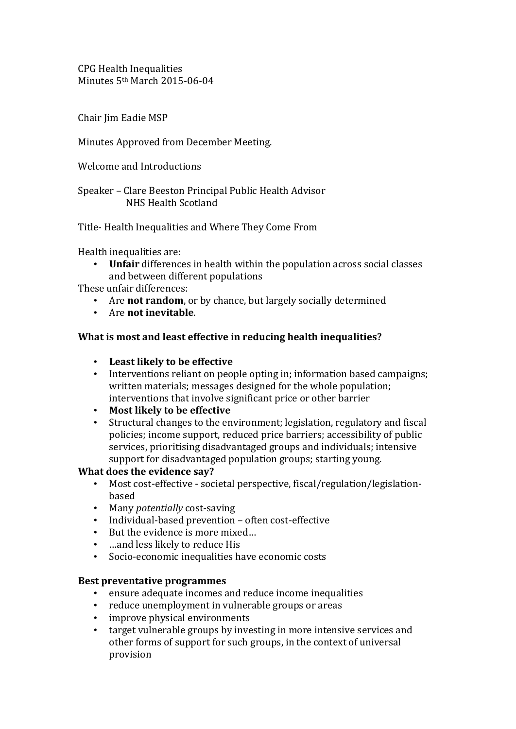CPG Health Inequalities Minutes 5th March 2015-06-04

Chair Iim Eadie MSP

# Minutes Approved from December Meeting.

Welcome and Introductions

Speaker – Clare Beeston Principal Public Health Advisor NHS Health Scotland

Title- Health Inequalities and Where They Come From

Health inequalities are:

• **Unfair** differences in health within the population across social classes and between different populations

These unfair differences:

- Are **not random**, or by chance, but largely socially determined
- Are **not inevitable**.

## **What is most and least effective in reducing health inequalities?**

- **Least likely to be effective**
- Interventions reliant on people opting in; information based campaigns; written materials; messages designed for the whole population; interventions that involve significant price or other barrier
- **Most likely to be effective**
- Structural changes to the environment; legislation, regulatory and fiscal policies; income support, reduced price barriers; accessibility of public services, prioritising disadvantaged groups and individuals; intensive support for disadvantaged population groups; starting young.

### **What does the evidence say?**

- Most cost-effective societal perspective, fiscal/regulation/legislationbased
- Many *potentially* cost-saving
- Individual-based prevention often cost-effective
- But the evidence is more mixed...
- …and less likely to reduce His
- Socio-economic inequalities have economic costs

### **Best preventative programmes**

- ensure adequate incomes and reduce income inequalities
- reduce unemployment in vulnerable groups or areas
- improve physical environments
- target vulnerable groups by investing in more intensive services and other forms of support for such groups, in the context of universal provision